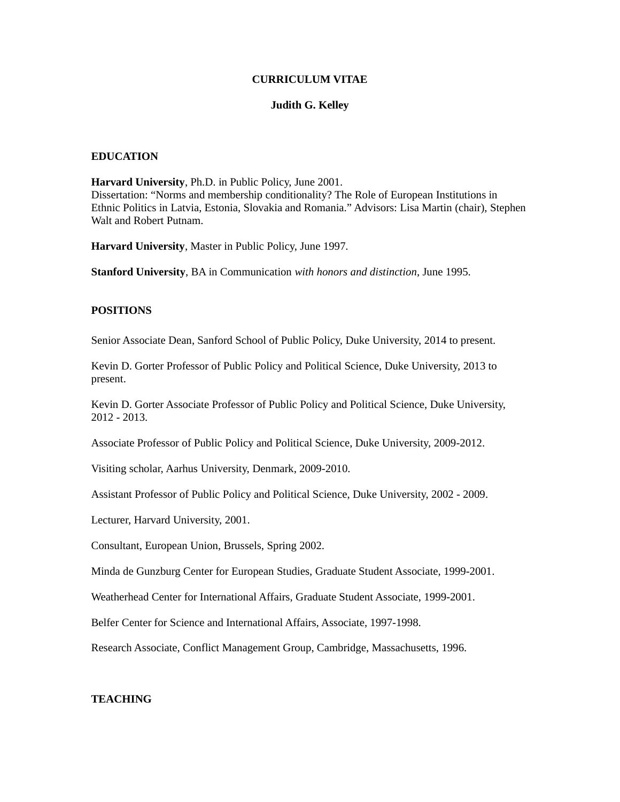### **CURRICULUM VITAE**

#### **Judith G. Kelley**

## **EDUCATION**

**Harvard University**, Ph.D. in Public Policy, June 2001. Dissertation: "Norms and membership conditionality? The Role of European Institutions in Ethnic Politics in Latvia, Estonia, Slovakia and Romania." Advisors: Lisa Martin (chair), Stephen Walt and Robert Putnam.

**Harvard University**, Master in Public Policy, June 1997.

**Stanford University**, BA in Communication *with honors and distinction*, June 1995.

#### **POSITIONS**

Senior Associate Dean, Sanford School of Public Policy, Duke University, 2014 to present.

Kevin D. Gorter Professor of Public Policy and Political Science, Duke University, 2013 to present.

Kevin D. Gorter Associate Professor of Public Policy and Political Science, Duke University, 2012 - 2013.

Associate Professor of Public Policy and Political Science, Duke University, 2009-2012.

Visiting scholar, Aarhus University, Denmark, 2009-2010.

Assistant Professor of Public Policy and Political Science, Duke University, 2002 - 2009.

Lecturer, Harvard University, 2001.

Consultant, European Union, Brussels, Spring 2002.

Minda de Gunzburg Center for European Studies, Graduate Student Associate, 1999-2001.

Weatherhead Center for International Affairs, Graduate Student Associate, 1999-2001.

Belfer Center for Science and International Affairs, Associate, 1997-1998.

Research Associate, Conflict Management Group, Cambridge, Massachusetts, 1996.

# **TEACHING**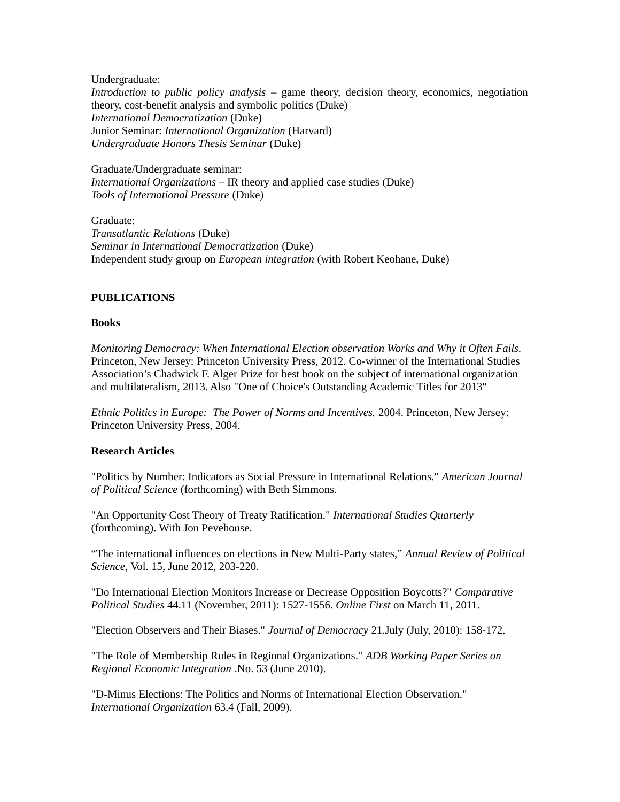Undergraduate:

*Introduction to public policy analysis* – game theory, decision theory, economics, negotiation theory, cost-benefit analysis and symbolic politics (Duke) *International Democratization* (Duke) Junior Seminar: *International Organization* (Harvard) *Undergraduate Honors Thesis Seminar* (Duke)

Graduate/Undergraduate seminar: *International Organizations –* IR theory and applied case studies (Duke) *Tools of International Pressure* (Duke)

Graduate: *Transatlantic Relations* (Duke) *Seminar in International Democratization* (Duke) Independent study group on *European integration* (with Robert Keohane, Duke)

# **PUBLICATIONS**

## **Books**

*Monitoring Democracy: When International Election observation Works and Why it Often Fails.* Princeton, New Jersey: Princeton University Press, 2012. Co-winner of the International Studies Association's Chadwick F. Alger Prize for best book on the subject of international organization and multilateralism, 2013. Also "One of Choice's Outstanding Academic Titles for 2013"

*Ethnic Politics in Europe: The Power of Norms and Incentives.* 2004. Princeton, New Jersey: Princeton University Press, 2004.

# **Research Articles**

"Politics by Number: Indicators as Social Pressure in International Relations." *American Journal of Political Science* (forthcoming) with Beth Simmons.

"An Opportunity Cost Theory of Treaty Ratification." *International Studies Quarterly* (forthcoming). With Jon Pevehouse.

"The international influences on elections in New Multi-Party states," *Annual Review of Political Science*, Vol. 15, June 2012, 203-220.

"Do International Election Monitors Increase or Decrease Opposition Boycotts?" *Comparative Political Studies* 44.11 (November, 2011): 1527-1556. *Online First* on March 11, 2011.

"Election Observers and Their Biases." *Journal of Democracy* 21.July (July, 2010): 158-172.

"The Role of Membership Rules in Regional Organizations." *ADB Working Paper Series on Regional Economic Integration* .No. 53 (June 2010).

"D-Minus Elections: The Politics and Norms of International Election Observation." *International Organization* 63.4 (Fall, 2009).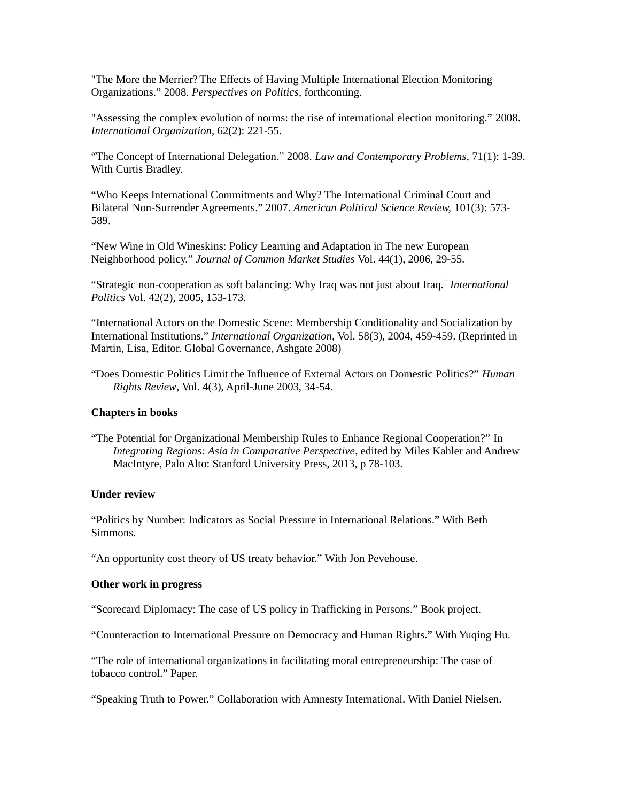"The More the Merrier? The Effects of Having Multiple International Election Monitoring Organizations." 2008. *Perspectives on Politics*, forthcoming.

"Assessing the complex evolution of norms: the rise of international election monitoring." 2008. *International Organization*, 62(2): 221-55.

"The Concept of International Delegation." 2008. *Law and Contemporary Problems*, 71(1): 1-39. With Curtis Bradley.

"Who Keeps International Commitments and Why? The International Criminal Court and Bilateral Non-Surrender Agreements." 2007. *American Political Science Review,* 101(3): 573- 589.

"New Wine in Old Wineskins: Policy Learning and Adaptation in The new European Neighborhood policy." *Journal of Common Market Studies* Vol. 44(1), 2006, 29-55.

"Strategic non-cooperation as soft balancing: Why Iraq was not just about Iraq." *International Politics* Vol. 42(2), 2005, 153-173.

"International Actors on the Domestic Scene: Membership Conditionality and Socialization by International Institutions." *International Organization,* Vol. 58(3), 2004, 459-459. (Reprinted in Martin, Lisa, Editor. Global Governance, Ashgate 2008)

"Does Domestic Politics Limit the Influence of External Actors on Domestic Politics?" *Human Rights Review*, Vol. 4(3), April-June 2003, 34-54.

## **Chapters in books**

"The Potential for Organizational Membership Rules to Enhance Regional Cooperation?" In *Integrating Regions: Asia in Comparative Perspective*, edited by Miles Kahler and Andrew MacIntyre, Palo Alto: Stanford University Press, 2013, p 78-103.

#### **Under review**

"Politics by Number: Indicators as Social Pressure in International Relations." With Beth Simmons.

"An opportunity cost theory of US treaty behavior." With Jon Pevehouse.

# **Other work in progress**

"Scorecard Diplomacy: The case of US policy in Trafficking in Persons." Book project.

"Counteraction to International Pressure on Democracy and Human Rights." With Yuqing Hu.

"The role of international organizations in facilitating moral entrepreneurship: The case of tobacco control." Paper.

"Speaking Truth to Power." Collaboration with Amnesty International. With Daniel Nielsen.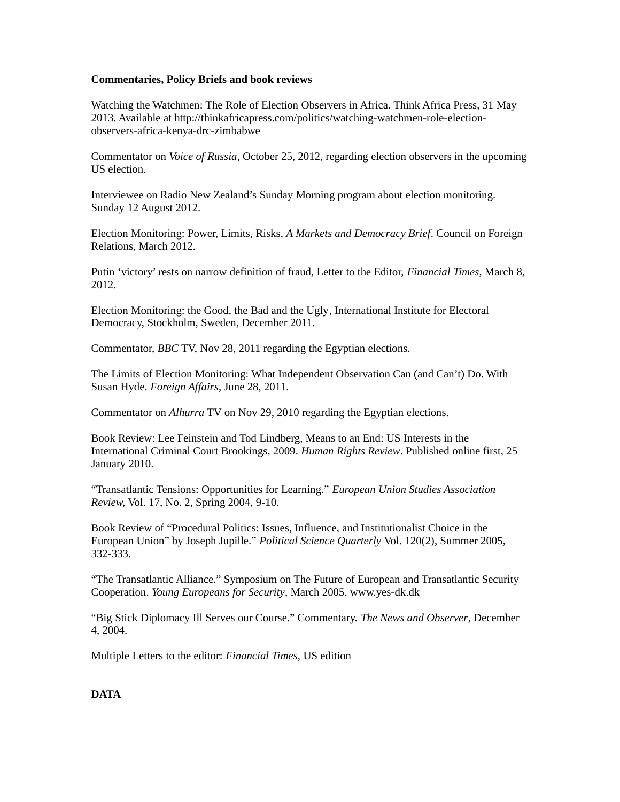## **Commentaries, Policy Briefs and book reviews**

Watching the Watchmen: The Role of Election Observers in Africa. Think Africa Press, 31 May 2013. Available at http://thinkafricapress.com/politics/watching-watchmen-role-electionobservers-africa-kenya-drc-zimbabwe

Commentator on *Voice of Russia*, October 25, 2012, regarding election observers in the upcoming US election.

Interviewee on Radio New Zealand's Sunday Morning program about election monitoring. Sunday 12 August 2012.

Election Monitoring: Power, Limits, Risks. *A Markets and Democracy Brief*. Council on Foreign Relations, March 2012.

Putin 'victory' rests on narrow definition of fraud, Letter to the Editor, *Financial Times*, March 8, 2012.

Election Monitoring: the Good, the Bad and the Ugly, International Institute for Electoral Democracy, Stockholm, Sweden, December 2011.

Commentator, *BBC* TV, Nov 28, 2011 regarding the Egyptian elections.

The Limits of Election Monitoring: What Independent Observation Can (and Can't) Do. With Susan Hyde. *Foreign Affairs*, June 28, 2011.

Commentator on *Alhurra* TV on Nov 29, 2010 regarding the Egyptian elections.

Book Review: Lee Feinstein and Tod Lindberg, Means to an End: US Interests in the International Criminal Court Brookings, 2009. *Human Rights Review*. Published online first, 25 January 2010.

"Transatlantic Tensions: Opportunities for Learning." *European Union Studies Association Review,* Vol. 17, No. 2, Spring 2004, 9-10.

Book Review of "Procedural Politics: Issues, Influence, and Institutionalist Choice in the European Union" by Joseph Jupille." *Political Science Quarterly* Vol. 120(2), Summer 2005, 332-333.

"The Transatlantic Alliance." Symposium on The Future of European and Transatlantic Security Cooperation. *Young Europeans for Security*, March 2005. www.yes-dk.dk

"Big Stick Diplomacy Ill Serves our Course." Commentary. *The News and Observer*, December 4, 2004.

Multiple Letters to the editor: *Financial Times,* US edition

**DATA**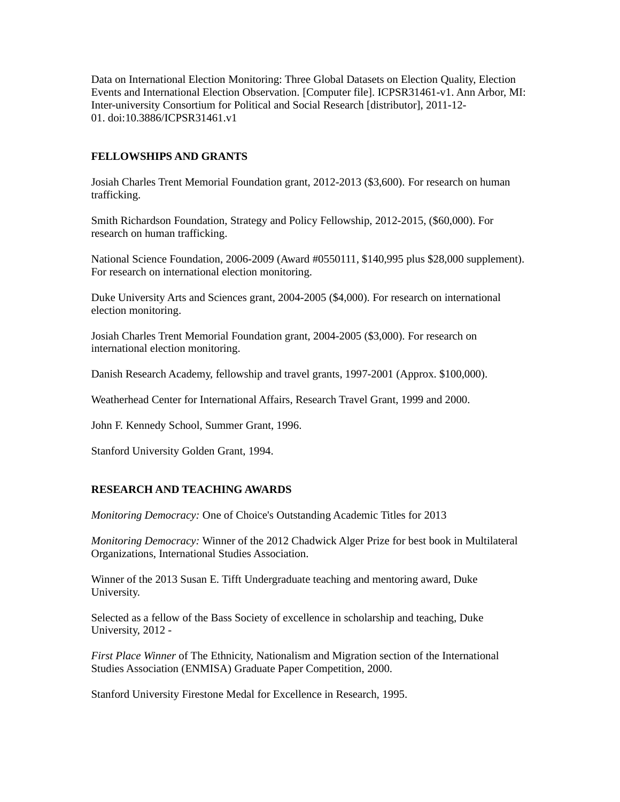Data on International Election Monitoring: Three Global Datasets on Election Quality, Election Events and International Election Observation. [Computer file]. ICPSR31461-v1. Ann Arbor, MI: Inter-university Consortium for Political and Social Research [distributor], 2011-12- 01. doi:10.3886/ICPSR31461.v1

## **FELLOWSHIPS AND GRANTS**

Josiah Charles Trent Memorial Foundation grant, 2012-2013 (\$3,600). For research on human trafficking.

Smith Richardson Foundation, Strategy and Policy Fellowship, 2012-2015, (\$60,000). For research on human trafficking.

National Science Foundation, 2006-2009 (Award #0550111, \$140,995 plus \$28,000 supplement). For research on international election monitoring.

Duke University Arts and Sciences grant, 2004-2005 (\$4,000). For research on international election monitoring.

Josiah Charles Trent Memorial Foundation grant, 2004-2005 (\$3,000). For research on international election monitoring.

Danish Research Academy, fellowship and travel grants, 1997-2001 (Approx. \$100,000).

Weatherhead Center for International Affairs, Research Travel Grant, 1999 and 2000.

John F. Kennedy School, Summer Grant, 1996.

Stanford University Golden Grant, 1994.

### **RESEARCH AND TEACHING AWARDS**

*Monitoring Democracy:* One of Choice's Outstanding Academic Titles for 2013

*Monitoring Democracy:* Winner of the 2012 Chadwick Alger Prize for best book in Multilateral Organizations, International Studies Association.

Winner of the 2013 Susan E. Tifft Undergraduate teaching and mentoring award, Duke University.

Selected as a fellow of the Bass Society of excellence in scholarship and teaching, Duke University, 2012 -

*First Place Winner* of The Ethnicity, Nationalism and Migration section of the International Studies Association (ENMISA) Graduate Paper Competition, 2000.

Stanford University Firestone Medal for Excellence in Research, 1995.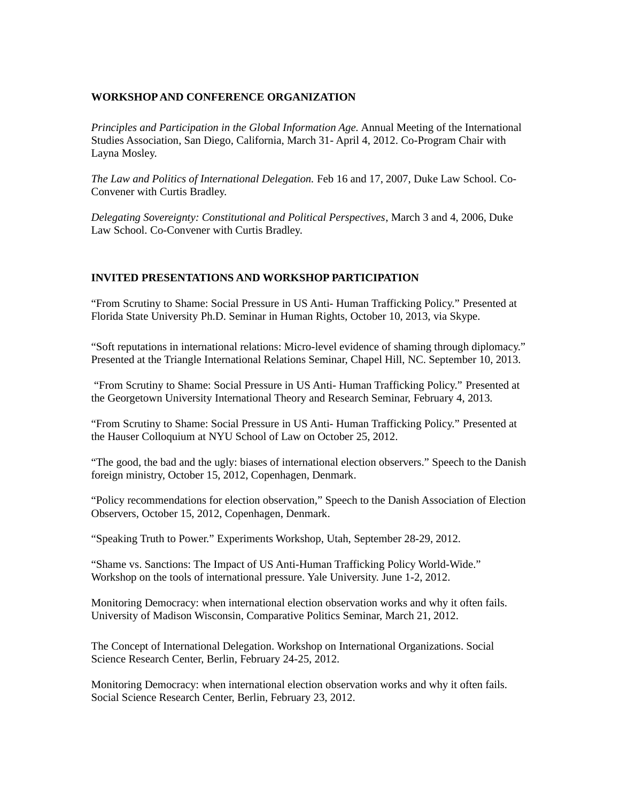# **WORKSHOP AND CONFERENCE ORGANIZATION**

*Principles and Participation in the Global Information Age.* Annual Meeting of the International Studies Association, San Diego, California, March 31- April 4, 2012. Co-Program Chair with Layna Mosley.

*The Law and Politics of International Delegation.* Feb 16 and 17, 2007, Duke Law School. Co-Convener with Curtis Bradley.

*Delegating Sovereignty: Constitutional and Political Perspectives*, March 3 and 4, 2006, Duke Law School. Co-Convener with Curtis Bradley.

# **INVITED PRESENTATIONS AND WORKSHOP PARTICIPATION**

"From Scrutiny to Shame: Social Pressure in US Anti- Human Trafficking Policy." Presented at Florida State University Ph.D. Seminar in Human Rights, October 10, 2013, via Skype.

"Soft reputations in international relations: Micro-level evidence of shaming through diplomacy." Presented at the Triangle International Relations Seminar, Chapel Hill, NC. September 10, 2013.

 "From Scrutiny to Shame: Social Pressure in US Anti- Human Trafficking Policy." Presented at the Georgetown University International Theory and Research Seminar, February 4, 2013.

"From Scrutiny to Shame: Social Pressure in US Anti- Human Trafficking Policy." Presented at the Hauser Colloquium at NYU School of Law on October 25, 2012.

"The good, the bad and the ugly: biases of international election observers." Speech to the Danish foreign ministry, October 15, 2012, Copenhagen, Denmark.

"Policy recommendations for election observation," Speech to the Danish Association of Election Observers, October 15, 2012, Copenhagen, Denmark.

"Speaking Truth to Power." Experiments Workshop, Utah, September 28-29, 2012.

"Shame vs. Sanctions: The Impact of US Anti-Human Trafficking Policy World-Wide." Workshop on the tools of international pressure. Yale University. June 1-2, 2012.

Monitoring Democracy: when international election observation works and why it often fails. University of Madison Wisconsin, Comparative Politics Seminar, March 21, 2012.

The Concept of International Delegation. Workshop on International Organizations. Social Science Research Center, Berlin, February 24-25, 2012.

Monitoring Democracy: when international election observation works and why it often fails. Social Science Research Center, Berlin, February 23, 2012.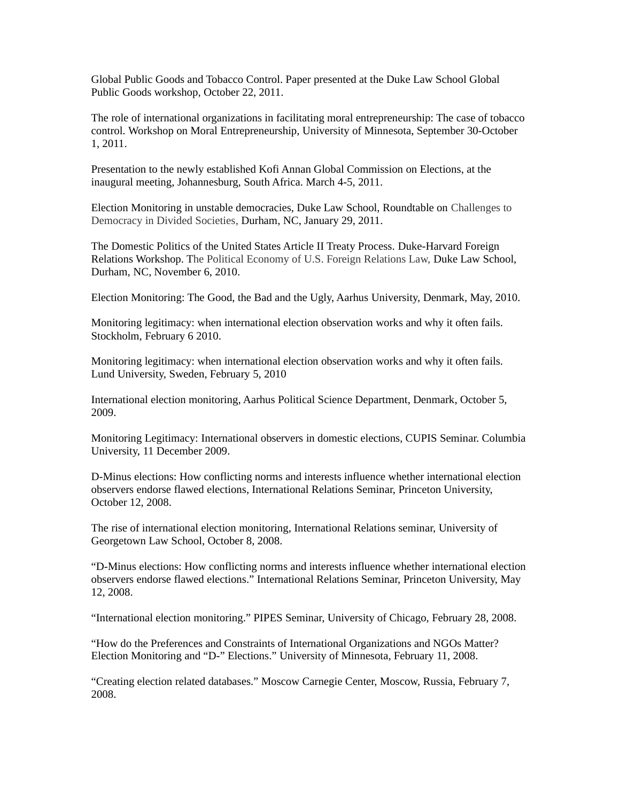Global Public Goods and Tobacco Control. Paper presented at the Duke Law School Global Public Goods workshop, October 22, 2011.

The role of international organizations in facilitating moral entrepreneurship: The case of tobacco control. Workshop on Moral Entrepreneurship, University of Minnesota, September 30-October 1, 2011.

Presentation to the newly established Kofi Annan Global Commission on Elections, at the inaugural meeting, Johannesburg, South Africa. March 4-5, 2011.

Election Monitoring in unstable democracies, Duke Law School, Roundtable on Challenges to Democracy in Divided Societies*,* Durham, NC, January 29, 2011.

The Domestic Politics of the United States Article II Treaty Process. Duke-Harvard Foreign Relations Workshop. The Political Economy of U.S. Foreign Relations Law, Duke Law School, Durham, NC, November 6, 2010.

Election Monitoring: The Good, the Bad and the Ugly, Aarhus University, Denmark, May, 2010.

Monitoring legitimacy: when international election observation works and why it often fails. Stockholm, February 6 2010.

Monitoring legitimacy: when international election observation works and why it often fails. Lund University, Sweden, February 5, 2010

International election monitoring, Aarhus Political Science Department, Denmark, October 5, 2009.

Monitoring Legitimacy: International observers in domestic elections, CUPIS Seminar. Columbia University, 11 December 2009.

D-Minus elections: How conflicting norms and interests influence whether international election observers endorse flawed elections, International Relations Seminar, Princeton University, October 12, 2008.

The rise of international election monitoring, International Relations seminar, University of Georgetown Law School, October 8, 2008.

"D-Minus elections: How conflicting norms and interests influence whether international election observers endorse flawed elections." International Relations Seminar, Princeton University, May 12, 2008.

"International election monitoring." PIPES Seminar, University of Chicago, February 28, 2008.

"How do the Preferences and Constraints of International Organizations and NGOs Matter? Election Monitoring and "D-" Elections." University of Minnesota, February 11, 2008.

"Creating election related databases." Moscow Carnegie Center, Moscow, Russia, February 7, 2008.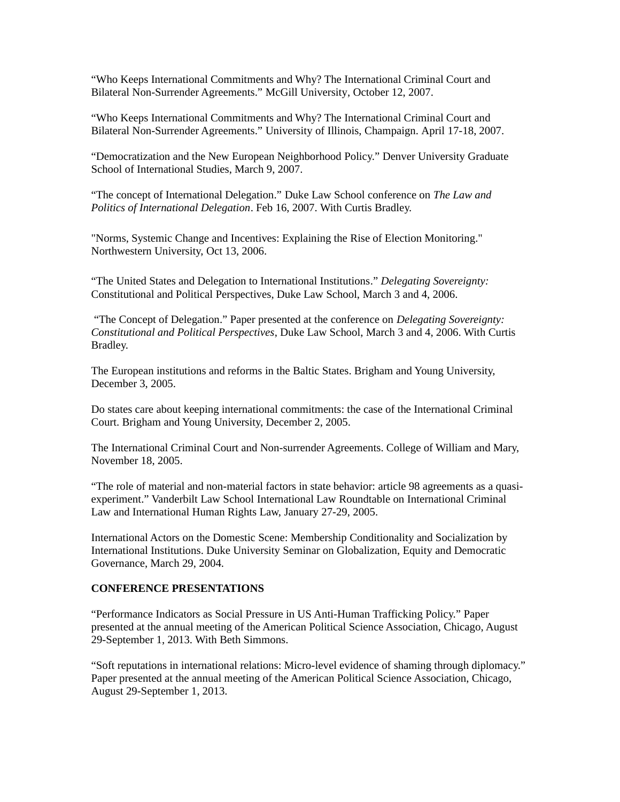"Who Keeps International Commitments and Why? The International Criminal Court and Bilateral Non-Surrender Agreements." McGill University, October 12, 2007.

"Who Keeps International Commitments and Why? The International Criminal Court and Bilateral Non-Surrender Agreements." University of Illinois, Champaign. April 17-18, 2007.

"Democratization and the New European Neighborhood Policy." Denver University Graduate School of International Studies, March 9, 2007.

"The concept of International Delegation." Duke Law School conference on *The Law and Politics of International Delegation*. Feb 16, 2007. With Curtis Bradley.

"Norms, Systemic Change and Incentives: Explaining the Rise of Election Monitoring." Northwestern University, Oct 13, 2006.

"The United States and Delegation to International Institutions." *Delegating Sovereignty:*  Constitutional and Political Perspectives, Duke Law School, March 3 and 4, 2006.

 "The Concept of Delegation." Paper presented at the conference on *Delegating Sovereignty: Constitutional and Political Perspectives*, Duke Law School, March 3 and 4, 2006. With Curtis Bradley.

The European institutions and reforms in the Baltic States. Brigham and Young University, December 3, 2005.

Do states care about keeping international commitments: the case of the International Criminal Court. Brigham and Young University, December 2, 2005.

The International Criminal Court and Non-surrender Agreements. College of William and Mary, November 18, 2005.

"The role of material and non-material factors in state behavior: article 98 agreements as a quasiexperiment." Vanderbilt Law School International Law Roundtable on International Criminal Law and International Human Rights Law, January 27-29, 2005.

International Actors on the Domestic Scene: Membership Conditionality and Socialization by International Institutions. Duke University Seminar on Globalization, Equity and Democratic Governance, March 29, 2004.

### **CONFERENCE PRESENTATIONS**

"Performance Indicators as Social Pressure in US Anti-Human Trafficking Policy." Paper presented at the annual meeting of the American Political Science Association, Chicago, August 29-September 1, 2013. With Beth Simmons.

"Soft reputations in international relations: Micro-level evidence of shaming through diplomacy." Paper presented at the annual meeting of the American Political Science Association, Chicago, August 29-September 1, 2013.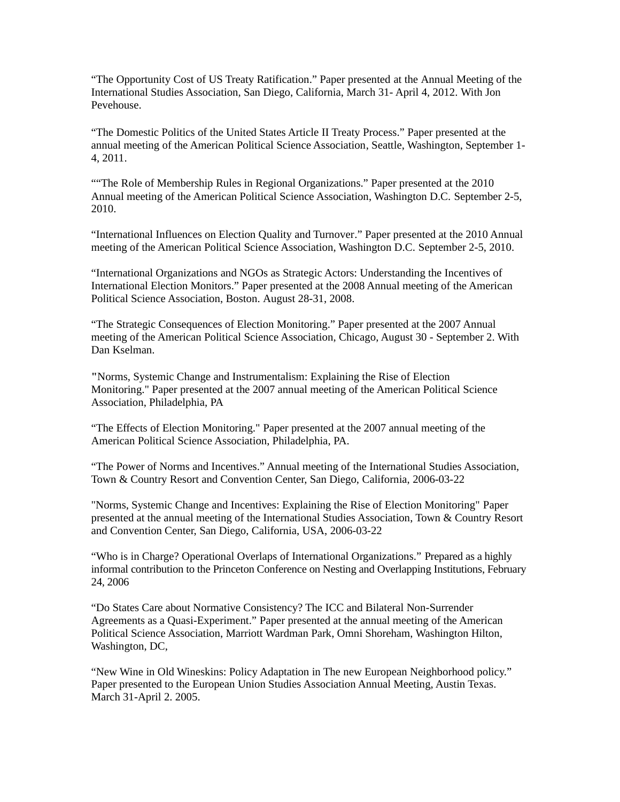"The Opportunity Cost of US Treaty Ratification." Paper presented at the Annual Meeting of the International Studies Association, San Diego, California, March 31- April 4, 2012. With Jon Pevehouse.

"The Domestic Politics of the United States Article II Treaty Process." Paper presented at the annual meeting of the American Political Science Association, Seattle, Washington, September 1- 4, 2011.

""The Role of Membership Rules in Regional Organizations." Paper presented at the 2010 Annual meeting of the American Political Science Association, Washington D.C. September 2-5, 2010.

"International Influences on Election Quality and Turnover." Paper presented at the 2010 Annual meeting of the American Political Science Association, Washington D.C. September 2-5, 2010.

"International Organizations and NGOs as Strategic Actors: Understanding the Incentives of International Election Monitors." Paper presented at the 2008 Annual meeting of the American Political Science Association, Boston. August 28-31, 2008.

"The Strategic Consequences of Election Monitoring." Paper presented at the 2007 Annual meeting of the American Political Science Association, Chicago, August 30 - September 2. With Dan Kselman.

**"**Norms, Systemic Change and Instrumentalism: Explaining the Rise of Election Monitoring." Paper presented at the 2007 annual meeting of the American Political Science Association, Philadelphia, PA

"The Effects of Election Monitoring." Paper presented at the 2007 annual meeting of the American Political Science Association, Philadelphia, PA.

"The Power of Norms and Incentives." Annual meeting of the International Studies Association, Town & Country Resort and Convention Center, San Diego, California, 2006-03-22

"Norms, Systemic Change and Incentives: Explaining the Rise of Election Monitoring" Paper presented at the annual meeting of the International Studies Association, Town & Country Resort and Convention Center, San Diego, California, USA, 2006-03-22

"Who is in Charge? Operational Overlaps of International Organizations." Prepared as a highly informal contribution to the Princeton Conference on Nesting and Overlapping Institutions, February 24, 2006

"Do States Care about Normative Consistency? The ICC and Bilateral Non-Surrender Agreements as a Quasi-Experiment." Paper presented at the annual meeting of the American Political Science Association, Marriott Wardman Park, Omni Shoreham, Washington Hilton, Washington, DC,

"New Wine in Old Wineskins: Policy Adaptation in The new European Neighborhood policy." Paper presented to the European Union Studies Association Annual Meeting, Austin Texas. March 31-April 2. 2005.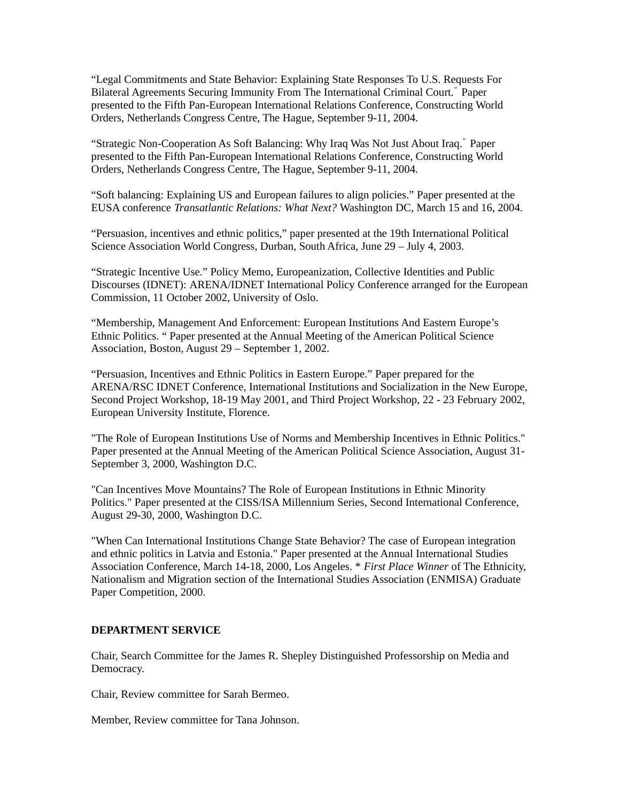"Legal Commitments and State Behavior: Explaining State Responses To U.S. Requests For Bilateral Agreements Securing Immunity From The International Criminal Court." Paper presented to the Fifth Pan-European International Relations Conference, Constructing World Orders, Netherlands Congress Centre, The Hague, September 9-11, 2004.

"Strategic Non-Cooperation As Soft Balancing: Why Iraq Was Not Just About Iraq." Paper presented to the Fifth Pan-European International Relations Conference, Constructing World Orders, Netherlands Congress Centre, The Hague, September 9-11, 2004.

"Soft balancing: Explaining US and European failures to align policies." Paper presented at the EUSA conference *Transatlantic Relations: What Next?* Washington DC, March 15 and 16, 2004.

"Persuasion, incentives and ethnic politics," paper presented at the 19th International Political Science Association World Congress, Durban, South Africa, June 29 – July 4, 2003.

"Strategic Incentive Use." Policy Memo, Europeanization, Collective Identities and Public Discourses (IDNET): ARENA/IDNET International Policy Conference arranged for the European Commission, 11 October 2002, University of Oslo.

"Membership, Management And Enforcement: European Institutions And Eastern Europe's Ethnic Politics. " Paper presented at the Annual Meeting of the American Political Science Association, Boston, August 29 – September 1, 2002.

"Persuasion, Incentives and Ethnic Politics in Eastern Europe." Paper prepared for the ARENA/RSC IDNET Conference, International Institutions and Socialization in the New Europe, Second Project Workshop, 18-19 May 2001, and Third Project Workshop, 22 - 23 February 2002, European University Institute, Florence.

"The Role of European Institutions Use of Norms and Membership Incentives in Ethnic Politics." Paper presented at the Annual Meeting of the American Political Science Association, August 31- September 3, 2000, Washington D.C.

"Can Incentives Move Mountains? The Role of European Institutions in Ethnic Minority Politics." Paper presented at the CISS/ISA Millennium Series, Second International Conference, August 29-30, 2000, Washington D.C.

"When Can International Institutions Change State Behavior? The case of European integration and ethnic politics in Latvia and Estonia." Paper presented at the Annual International Studies Association Conference, March 14-18, 2000, Los Angeles. \* *First Place Winner* of The Ethnicity, Nationalism and Migration section of the International Studies Association (ENMISA) Graduate Paper Competition, 2000.

### **DEPARTMENT SERVICE**

Chair, Search Committee for the James R. Shepley Distinguished Professorship on Media and Democracy.

Chair, Review committee for Sarah Bermeo.

Member, Review committee for Tana Johnson.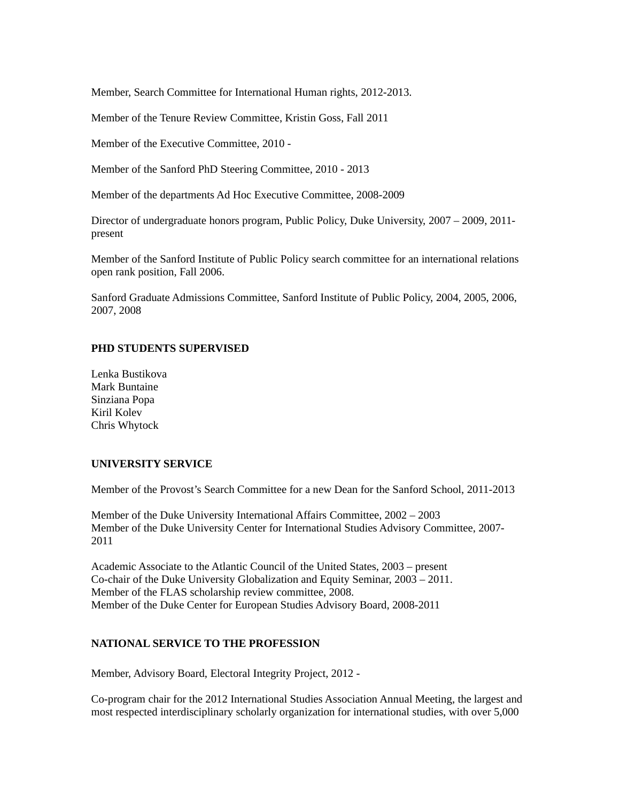Member, Search Committee for International Human rights, 2012-2013.

Member of the Tenure Review Committee, Kristin Goss, Fall 2011

Member of the Executive Committee, 2010 -

Member of the Sanford PhD Steering Committee, 2010 - 2013

Member of the departments Ad Hoc Executive Committee, 2008-2009

Director of undergraduate honors program, Public Policy, Duke University, 2007 – 2009, 2011 present

Member of the Sanford Institute of Public Policy search committee for an international relations open rank position, Fall 2006.

Sanford Graduate Admissions Committee, Sanford Institute of Public Policy, 2004, 2005, 2006, 2007, 2008

## **PHD STUDENTS SUPERVISED**

Lenka Bustikova Mark Buntaine Sinziana Popa Kiril Kolev Chris Whytock

## **UNIVERSITY SERVICE**

Member of the Provost's Search Committee for a new Dean for the Sanford School, 2011-2013

Member of the Duke University International Affairs Committee, 2002 – 2003 Member of the Duke University Center for International Studies Advisory Committee, 2007- 2011

Academic Associate to the Atlantic Council of the United States, 2003 – present Co-chair of the Duke University Globalization and Equity Seminar, 2003 – 2011. Member of the FLAS scholarship review committee, 2008. Member of the Duke Center for European Studies Advisory Board, 2008-2011

# **NATIONAL SERVICE TO THE PROFESSION**

Member, Advisory Board, Electoral Integrity Project, 2012 -

Co-program chair for the 2012 International Studies Association Annual Meeting, the largest and most respected interdisciplinary scholarly organization for international studies, with over 5,000